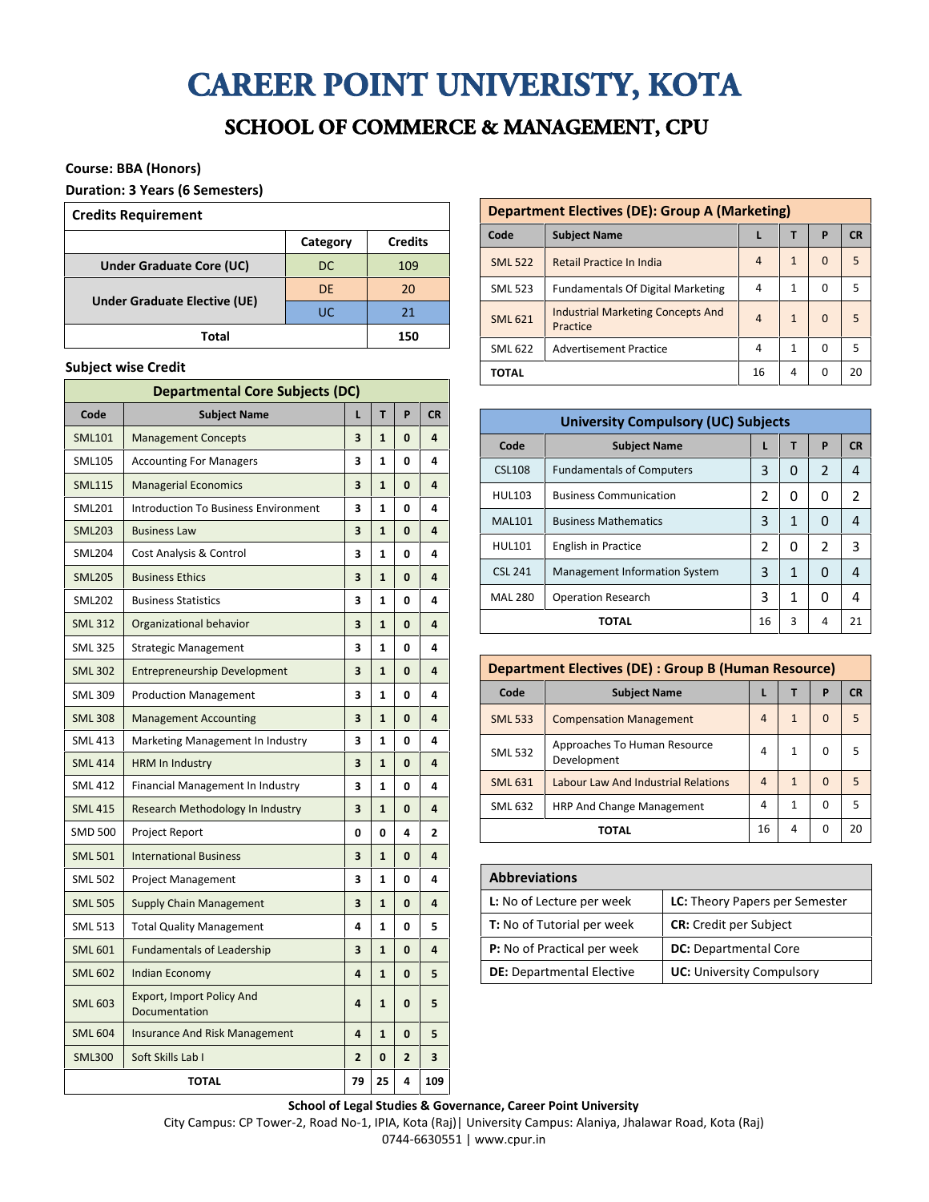# CAREER POINT UNIVERISTY, KOTA

## SCHOOL OF COMMERCE & MANAGEMENT, CPU

#### **Course: BBA (Honors)**

#### **Duration: 3 Years (6 Semesters)**

| <b>Credits Requirement</b>      |          |                |  |  |  |  |
|---------------------------------|----------|----------------|--|--|--|--|
|                                 | Category | <b>Credits</b> |  |  |  |  |
| <b>Under Graduate Core (UC)</b> | DC       | 109            |  |  |  |  |
| Under Graduate Elective (UE)    | DE       | 20             |  |  |  |  |
|                                 | UC       | 21             |  |  |  |  |
| Total                           | 150      |                |  |  |  |  |

#### **Subject wise Credit**

| <b>Departmental Core Subjects (DC)</b> |                                             |                |              |                |           |
|----------------------------------------|---------------------------------------------|----------------|--------------|----------------|-----------|
| Code                                   | <b>Subject Name</b>                         | L              | T            | P              | <b>CR</b> |
| <b>SML101</b>                          | <b>Management Concepts</b>                  | 3              | 1            | 0              | 4         |
| <b>SML105</b>                          | <b>Accounting For Managers</b>              | 3              | 1            | 0              | 4         |
| <b>SML115</b>                          | <b>Managerial Economics</b>                 | 3              | $\mathbf{1}$ | 0              | 4         |
| <b>SML201</b>                          | <b>Introduction To Business Environment</b> | 3              | 1            | 0              | 4         |
| <b>SML203</b>                          | <b>Business Law</b>                         | 3              | $\mathbf{1}$ | 0              | 4         |
| <b>SML204</b>                          | Cost Analysis & Control                     | 3              | 1            | 0              | 4         |
| <b>SML205</b>                          | <b>Business Ethics</b>                      | 3              | $\mathbf{1}$ | 0              | 4         |
| <b>SML202</b>                          | <b>Business Statistics</b>                  | 3              | 1            | 0              | 4         |
| <b>SML 312</b>                         | Organizational behavior                     | 3              | $\mathbf{1}$ | $\mathbf{0}$   | 4         |
| <b>SML 325</b>                         | <b>Strategic Management</b>                 | 3              | 1            | 0              | 4         |
| <b>SML 302</b>                         | <b>Entrepreneurship Development</b>         | 3              | $\mathbf{1}$ | 0              | 4         |
| <b>SML 309</b>                         | <b>Production Management</b>                | 3              | 1            | 0              | 4         |
| <b>SML 308</b>                         | <b>Management Accounting</b>                | 3              | $\mathbf{1}$ | 0              | 4         |
| <b>SML 413</b>                         | Marketing Management In Industry            | 3              | 1            | 0              | 4         |
| <b>SML 414</b>                         | <b>HRM In Industry</b>                      |                | $\mathbf{1}$ | 0              | 4         |
| <b>SML 412</b>                         | Financial Management In Industry            | 3              | 1            | 0              | 4         |
| <b>SML 415</b>                         | Research Methodology In Industry            | 3              | $\mathbf{1}$ | 0              | 4         |
| <b>SMD 500</b>                         | Project Report                              | 0              | 0            | 4              | 2         |
| <b>SML 501</b>                         | <b>International Business</b>               | 3              | $\mathbf{1}$ | 0              | 4         |
| <b>SML 502</b>                         | <b>Project Management</b>                   | 3              | 1            | 0              | 4         |
| <b>SML 505</b>                         | <b>Supply Chain Management</b>              | 3              | $\mathbf{1}$ | 0              | 4         |
| <b>SML 513</b>                         | <b>Total Quality Management</b>             | 4              | 1            | 0              | 5         |
| <b>SML 601</b>                         | <b>Fundamentals of Leadership</b>           | 3              | $\mathbf{1}$ | 0              | 4         |
| <b>SML 602</b>                         | <b>Indian Economy</b>                       | 4              | $\mathbf{1}$ | 0              | 5         |
| <b>SML 603</b>                         | Export, Import Policy And<br>Documentation  | 4              | $\mathbf{1}$ | 0              | 5         |
| <b>SML 604</b>                         | <b>Insurance And Risk Management</b>        | 4              | 1            | 0              | 5         |
| <b>SML300</b>                          | Soft Skills Lab I                           | $\overline{2}$ | $\bf{0}$     | $\overline{2}$ | 3         |
|                                        | <b>TOTAL</b>                                | 79             | 25           | 4              | 109       |

| <b>Department Electives (DE): Group A (Marketing)</b> |                                                      |   |              |             |           |  |  |
|-------------------------------------------------------|------------------------------------------------------|---|--------------|-------------|-----------|--|--|
| Code                                                  | <b>Subject Name</b>                                  |   | т            | P           | <b>CR</b> |  |  |
| <b>SML 522</b>                                        | <b>Retail Practice In India</b>                      | 4 | 1            | $\mathbf 0$ | 5         |  |  |
| <b>SML 523</b>                                        | <b>Fundamentals Of Digital Marketing</b>             | 4 | 1            | 0           | 5         |  |  |
| <b>SML 621</b>                                        | <b>Industrial Marketing Concepts And</b><br>Practice | 4 | 1            | $\Omega$    | 5         |  |  |
| <b>SML 622</b><br><b>Advertisement Practice</b>       |                                                      | 4 | $\mathbf{1}$ | 0           | 5         |  |  |
| TOTAL                                                 |                                                      |   | 4            | 0           | 20        |  |  |
|                                                       |                                                      |   |              |             |           |  |  |

| <b>University Compulsory (UC) Subjects</b>  |                                      |   |   |                |                |  |  |
|---------------------------------------------|--------------------------------------|---|---|----------------|----------------|--|--|
| Code                                        | <b>Subject Name</b>                  |   |   |                | <b>CR</b>      |  |  |
| <b>CSL108</b>                               | <b>Fundamentals of Computers</b>     | 3 | 0 | $\mathcal{P}$  | 4              |  |  |
| <b>HUL103</b>                               | <b>Business Communication</b>        | 2 | 0 | 0              | $\mathfrak{p}$ |  |  |
| <b>MAL101</b>                               | <b>Business Mathematics</b>          | 3 | 1 | 0              | 4              |  |  |
| <b>HUL101</b>                               | English in Practice                  | 2 | 0 | $\overline{2}$ | 3              |  |  |
| <b>CSL 241</b>                              | <b>Management Information System</b> | 3 | 1 | O              | 4              |  |  |
| <b>MAL 280</b><br><b>Operation Research</b> |                                      | 3 | 1 | 0              | 4              |  |  |
|                                             | 3<br>16<br>21<br>ΤΟΤΑL<br>4          |   |   |                |                |  |  |

| <b>Department Electives (DE) : Group B (Human Resource)</b> |                                             |                |              |          |           |  |  |
|-------------------------------------------------------------|---------------------------------------------|----------------|--------------|----------|-----------|--|--|
| Code                                                        | <b>Subject Name</b>                         |                |              | P        | <b>CR</b> |  |  |
| <b>SML 533</b>                                              | <b>Compensation Management</b>              | $\overline{4}$ | $\mathbf{1}$ | $\Omega$ | 5         |  |  |
| <b>SML 532</b>                                              | Approaches To Human Resource<br>Development |                | 1            | 0        | 5         |  |  |
| <b>SML 631</b>                                              | Labour Law And Industrial Relations         |                | 1            | $\Omega$ | 5         |  |  |
| HRP And Change Management<br><b>SML 632</b>                 |                                             | 4              | 1            | $\Omega$ | 5         |  |  |
|                                                             | ΤΟΤΑΙ                                       | 16             | 4            | 0        | 20        |  |  |

| <b>Abbreviations</b>              |                                       |  |  |  |  |
|-----------------------------------|---------------------------------------|--|--|--|--|
| L: No of Lecture per week         | <b>LC:</b> Theory Papers per Semester |  |  |  |  |
| <b>T:</b> No of Tutorial per week | <b>CR:</b> Credit per Subject         |  |  |  |  |
| P: No of Practical per week       | <b>DC:</b> Departmental Core          |  |  |  |  |
| <b>DE:</b> Departmental Elective  | <b>UC: University Compulsory</b>      |  |  |  |  |

**School of Legal Studies & Governance, Career Point University**

City Campus: CP Tower-2, Road No-1, IPIA, Kota (Raj)| University Campus: Alaniya, Jhalawar Road, Kota (Raj) 0744-6630551 | www.cpur.in